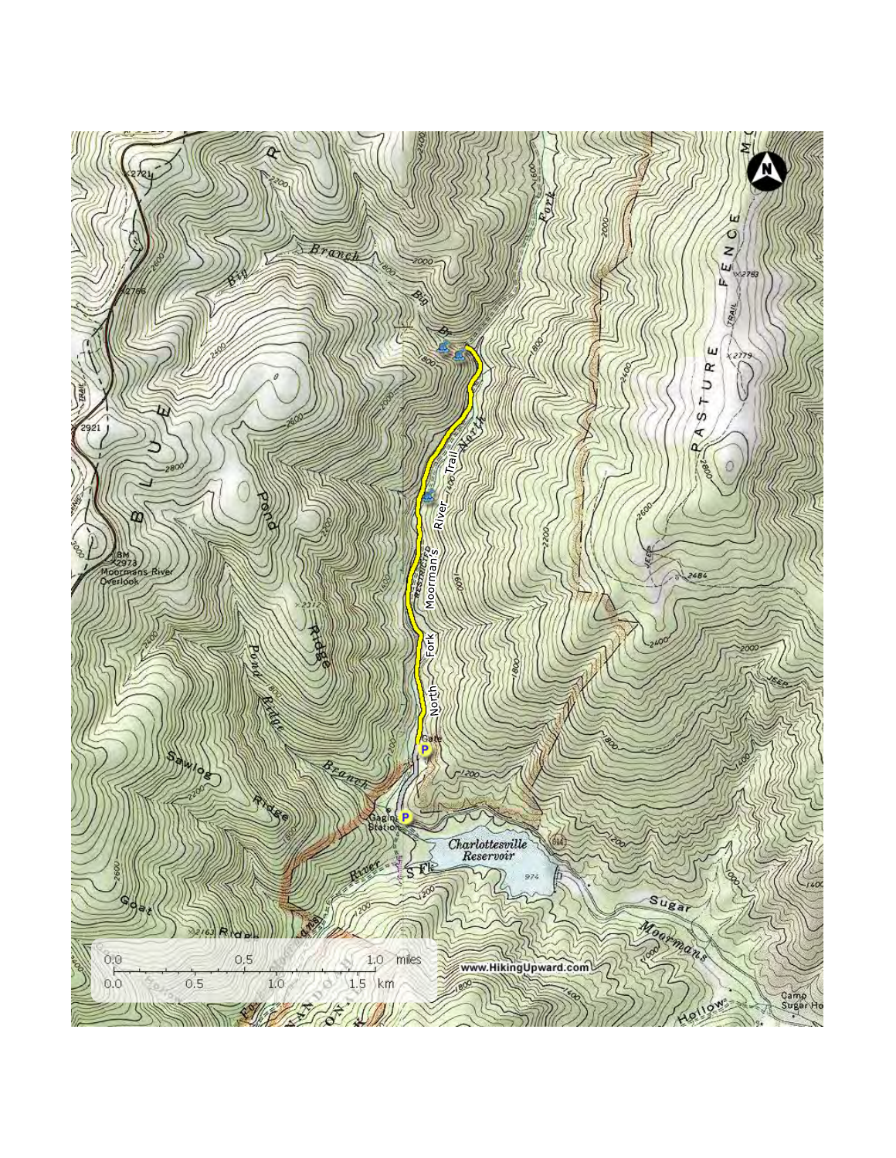